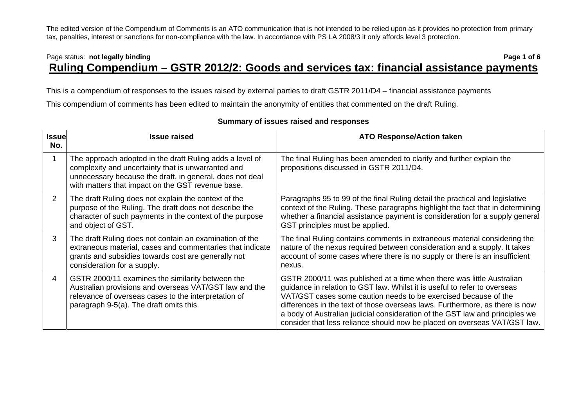## Page status: **not legally binding Page 1 of 6** and the page 1 of 6 **Ruling Compendium – GSTR 2012/2: Goods and services tax: financial assistance payments**

This is a compendium of responses to the issues raised by external parties to draft GSTR 2011/D4 – financial assistance payments

This compendium of comments has been edited to maintain the anonymity of entities that commented on the draft Ruling.

| <b>Issue</b><br>No. | <b>Issue raised</b>                                                                                                                                                                                                             | <b>ATO Response/Action taken</b>                                                                                                                                                                                                                                                                                                                                                                                                                                   |
|---------------------|---------------------------------------------------------------------------------------------------------------------------------------------------------------------------------------------------------------------------------|--------------------------------------------------------------------------------------------------------------------------------------------------------------------------------------------------------------------------------------------------------------------------------------------------------------------------------------------------------------------------------------------------------------------------------------------------------------------|
|                     | The approach adopted in the draft Ruling adds a level of<br>complexity and uncertainty that is unwarranted and<br>unnecessary because the draft, in general, does not deal<br>with matters that impact on the GST revenue base. | The final Ruling has been amended to clarify and further explain the<br>propositions discussed in GSTR 2011/D4.                                                                                                                                                                                                                                                                                                                                                    |
| 2                   | The draft Ruling does not explain the context of the<br>purpose of the Ruling. The draft does not describe the<br>character of such payments in the context of the purpose<br>and object of GST.                                | Paragraphs 95 to 99 of the final Ruling detail the practical and legislative<br>context of the Ruling. These paragraphs highlight the fact that in determining<br>whether a financial assistance payment is consideration for a supply general<br>GST principles must be applied.                                                                                                                                                                                  |
| 3                   | The draft Ruling does not contain an examination of the<br>extraneous material, cases and commentaries that indicate<br>grants and subsidies towards cost are generally not<br>consideration for a supply.                      | The final Ruling contains comments in extraneous material considering the<br>nature of the nexus required between consideration and a supply. It takes<br>account of some cases where there is no supply or there is an insufficient<br>nexus.                                                                                                                                                                                                                     |
| 4                   | GSTR 2000/11 examines the similarity between the<br>Australian provisions and overseas VAT/GST law and the<br>relevance of overseas cases to the interpretation of<br>paragraph 9-5(a). The draft omits this.                   | GSTR 2000/11 was published at a time when there was little Australian<br>guidance in relation to GST law. Whilst it is useful to refer to overseas<br>VAT/GST cases some caution needs to be exercised because of the<br>differences in the text of those overseas laws. Furthermore, as there is now<br>a body of Australian judicial consideration of the GST law and principles we<br>consider that less reliance should now be placed on overseas VAT/GST law. |

## **Summary of issues raised and responses**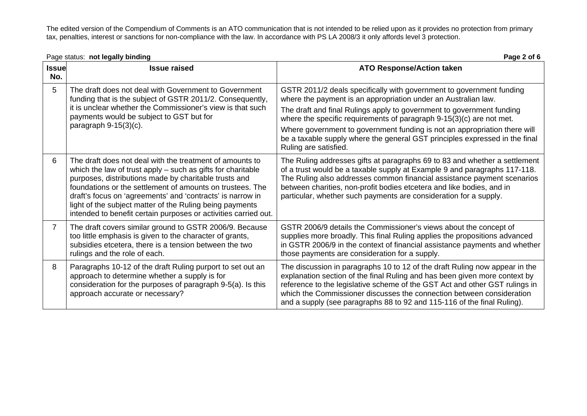|                     | Page status: not legally binding                                                                                                                                                                                                                                                                                                                                                                                                             | Page 2 of 6                                                                                                                                                                                                                                                                                                                                                                                                                                         |
|---------------------|----------------------------------------------------------------------------------------------------------------------------------------------------------------------------------------------------------------------------------------------------------------------------------------------------------------------------------------------------------------------------------------------------------------------------------------------|-----------------------------------------------------------------------------------------------------------------------------------------------------------------------------------------------------------------------------------------------------------------------------------------------------------------------------------------------------------------------------------------------------------------------------------------------------|
| <b>Issue</b><br>No. | <b>Issue raised</b>                                                                                                                                                                                                                                                                                                                                                                                                                          | <b>ATO Response/Action taken</b>                                                                                                                                                                                                                                                                                                                                                                                                                    |
| 5                   | The draft does not deal with Government to Government<br>funding that is the subject of GSTR 2011/2. Consequently,<br>it is unclear whether the Commissioner's view is that such<br>payments would be subject to GST but for<br>paragraph $9-15(3)(c)$ .                                                                                                                                                                                     | GSTR 2011/2 deals specifically with government to government funding<br>where the payment is an appropriation under an Australian law.<br>The draft and final Rulings apply to government to government funding<br>where the specific requirements of paragraph 9-15(3)(c) are not met.<br>Where government to government funding is not an appropriation there will<br>be a taxable supply where the general GST principles expressed in the final |
| 6                   | The draft does not deal with the treatment of amounts to<br>which the law of trust apply $-$ such as gifts for charitable<br>purposes, distributions made by charitable trusts and<br>foundations or the settlement of amounts on trustees. The<br>draft's focus on 'agreements' and 'contracts' is narrow in<br>light of the subject matter of the Ruling being payments<br>intended to benefit certain purposes or activities carried out. | Ruling are satisfied.<br>The Ruling addresses gifts at paragraphs 69 to 83 and whether a settlement<br>of a trust would be a taxable supply at Example 9 and paragraphs 117-118.<br>The Ruling also addresses common financial assistance payment scenarios<br>between charities, non-profit bodies etcetera and like bodies, and in<br>particular, whether such payments are consideration for a supply.                                           |
| $\overline{7}$      | The draft covers similar ground to GSTR 2006/9. Because<br>too little emphasis is given to the character of grants,<br>subsidies etcetera, there is a tension between the two<br>rulings and the role of each.                                                                                                                                                                                                                               | GSTR 2006/9 details the Commissioner's views about the concept of<br>supplies more broadly. This final Ruling applies the propositions advanced<br>in GSTR 2006/9 in the context of financial assistance payments and whether<br>those payments are consideration for a supply.                                                                                                                                                                     |
| 8                   | Paragraphs 10-12 of the draft Ruling purport to set out an<br>approach to determine whether a supply is for<br>consideration for the purposes of paragraph 9-5(a). Is this<br>approach accurate or necessary?                                                                                                                                                                                                                                | The discussion in paragraphs 10 to 12 of the draft Ruling now appear in the<br>explanation section of the final Ruling and has been given more context by<br>reference to the legislative scheme of the GST Act and other GST rulings in<br>which the Commissioner discusses the connection between consideration<br>and a supply (see paragraphs 88 to 92 and 115-116 of the final Ruling).                                                        |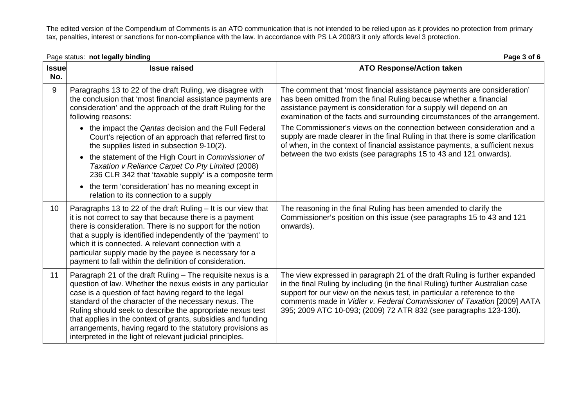| Page status: not legally binding |                                                                                                                                                                                                                                                                                                                                                                                                                                                                                                      | Page 3 of 6                                                                                                                                                                                                                                                                                                                                                                              |  |
|----------------------------------|------------------------------------------------------------------------------------------------------------------------------------------------------------------------------------------------------------------------------------------------------------------------------------------------------------------------------------------------------------------------------------------------------------------------------------------------------------------------------------------------------|------------------------------------------------------------------------------------------------------------------------------------------------------------------------------------------------------------------------------------------------------------------------------------------------------------------------------------------------------------------------------------------|--|
| <b>Issue</b><br>No.              | <b>Issue raised</b>                                                                                                                                                                                                                                                                                                                                                                                                                                                                                  | <b>ATO Response/Action taken</b>                                                                                                                                                                                                                                                                                                                                                         |  |
| 9                                | Paragraphs 13 to 22 of the draft Ruling, we disagree with<br>the conclusion that 'most financial assistance payments are<br>consideration' and the approach of the draft Ruling for the<br>following reasons:                                                                                                                                                                                                                                                                                        | The comment that 'most financial assistance payments are consideration'<br>has been omitted from the final Ruling because whether a financial<br>assistance payment is consideration for a supply will depend on an<br>examination of the facts and surrounding circumstances of the arrangement.                                                                                        |  |
|                                  | the impact the Qantas decision and the Full Federal<br>Court's rejection of an approach that referred first to<br>the supplies listed in subsection 9-10(2).                                                                                                                                                                                                                                                                                                                                         | The Commissioner's views on the connection between consideration and a<br>supply are made clearer in the final Ruling in that there is some clarification<br>of when, in the context of financial assistance payments, a sufficient nexus<br>between the two exists (see paragraphs 15 to 43 and 121 onwards).                                                                           |  |
|                                  | the statement of the High Court in Commissioner of<br>$\bullet$<br>Taxation v Reliance Carpet Co Pty Limited (2008)<br>236 CLR 342 that 'taxable supply' is a composite term                                                                                                                                                                                                                                                                                                                         |                                                                                                                                                                                                                                                                                                                                                                                          |  |
|                                  | the term 'consideration' has no meaning except in<br>$\bullet$<br>relation to its connection to a supply                                                                                                                                                                                                                                                                                                                                                                                             |                                                                                                                                                                                                                                                                                                                                                                                          |  |
| 10 <sup>°</sup>                  | Paragraphs 13 to 22 of the draft Ruling – It is our view that<br>it is not correct to say that because there is a payment<br>there is consideration. There is no support for the notion<br>that a supply is identified independently of the 'payment' to<br>which it is connected. A relevant connection with a<br>particular supply made by the payee is necessary for a<br>payment to fall within the definition of consideration.                                                                 | The reasoning in the final Ruling has been amended to clarify the<br>Commissioner's position on this issue (see paragraphs 15 to 43 and 121<br>onwards).                                                                                                                                                                                                                                 |  |
| 11                               | Paragraph 21 of the draft Ruling - The requisite nexus is a<br>question of law. Whether the nexus exists in any particular<br>case is a question of fact having regard to the legal<br>standard of the character of the necessary nexus. The<br>Ruling should seek to describe the appropriate nexus test<br>that applies in the context of grants, subsidies and funding<br>arrangements, having regard to the statutory provisions as<br>interpreted in the light of relevant judicial principles. | The view expressed in paragraph 21 of the draft Ruling is further expanded<br>in the final Ruling by including (in the final Ruling) further Australian case<br>support for our view on the nexus test, in particular a reference to the<br>comments made in Vidler v. Federal Commissioner of Taxation [2009] AATA<br>395; 2009 ATC 10-093; (2009) 72 ATR 832 (see paragraphs 123-130). |  |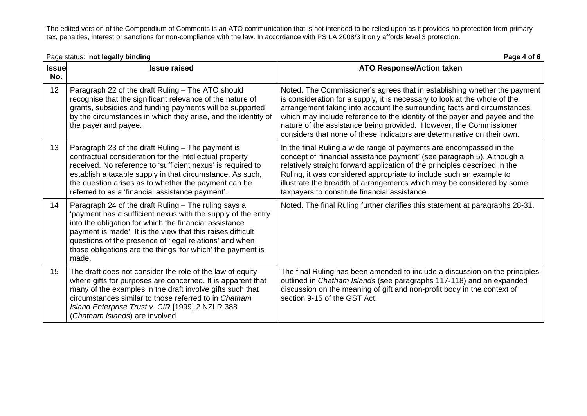|                     | Page status: not legally binding<br>Page 4 of 6                                                                                                                                                                                                                                                                                                                                  |                                                                                                                                                                                                                                                                                                                                                                                                                                                                   |
|---------------------|----------------------------------------------------------------------------------------------------------------------------------------------------------------------------------------------------------------------------------------------------------------------------------------------------------------------------------------------------------------------------------|-------------------------------------------------------------------------------------------------------------------------------------------------------------------------------------------------------------------------------------------------------------------------------------------------------------------------------------------------------------------------------------------------------------------------------------------------------------------|
| <b>Issue</b><br>No. | <b>Issue raised</b>                                                                                                                                                                                                                                                                                                                                                              | <b>ATO Response/Action taken</b>                                                                                                                                                                                                                                                                                                                                                                                                                                  |
| 12                  | Paragraph 22 of the draft Ruling - The ATO should<br>recognise that the significant relevance of the nature of<br>grants, subsidies and funding payments will be supported<br>by the circumstances in which they arise, and the identity of<br>the payer and payee.                                                                                                              | Noted. The Commissioner's agrees that in establishing whether the payment<br>is consideration for a supply, it is necessary to look at the whole of the<br>arrangement taking into account the surrounding facts and circumstances<br>which may include reference to the identity of the payer and payee and the<br>nature of the assistance being provided. However, the Commissioner<br>considers that none of these indicators are determinative on their own. |
| 13                  | Paragraph 23 of the draft Ruling - The payment is<br>contractual consideration for the intellectual property<br>received. No reference to 'sufficient nexus' is required to<br>establish a taxable supply in that circumstance. As such,<br>the question arises as to whether the payment can be<br>referred to as a 'financial assistance payment'.                             | In the final Ruling a wide range of payments are encompassed in the<br>concept of 'financial assistance payment' (see paragraph 5). Although a<br>relatively straight forward application of the principles described in the<br>Ruling, it was considered appropriate to include such an example to<br>illustrate the breadth of arrangements which may be considered by some<br>taxpayers to constitute financial assistance.                                    |
| 14                  | Paragraph 24 of the draft Ruling - The ruling says a<br>'payment has a sufficient nexus with the supply of the entry<br>into the obligation for which the financial assistance<br>payment is made'. It is the view that this raises difficult<br>questions of the presence of 'legal relations' and when<br>those obligations are the things 'for which' the payment is<br>made. | Noted. The final Ruling further clarifies this statement at paragraphs 28-31.                                                                                                                                                                                                                                                                                                                                                                                     |
| 15                  | The draft does not consider the role of the law of equity<br>where gifts for purposes are concerned. It is apparent that<br>many of the examples in the draft involve gifts such that<br>circumstances similar to those referred to in Chatham<br>Island Enterprise Trust v. CIR [1999] 2 NZLR 388<br>(Chatham Islands) are involved.                                            | The final Ruling has been amended to include a discussion on the principles<br>outlined in Chatham Islands (see paragraphs 117-118) and an expanded<br>discussion on the meaning of gift and non-profit body in the context of<br>section 9-15 of the GST Act.                                                                                                                                                                                                    |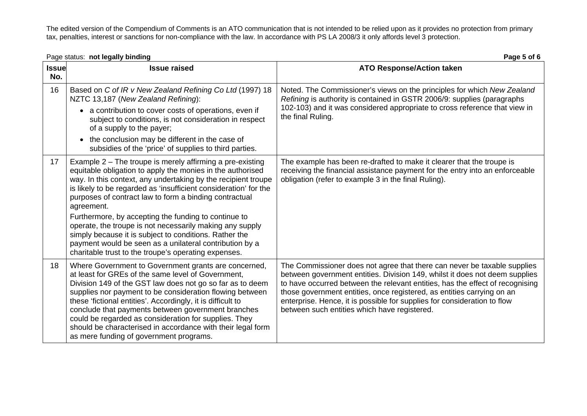|                     | Page status: not legally binding                                                                                                                                                                                                                                                                                                                                                                                                                                                                                                                                                                                                      | Page 5 of 6                                                                                                                                                                                                                                                                                                                                                                                                                                    |
|---------------------|---------------------------------------------------------------------------------------------------------------------------------------------------------------------------------------------------------------------------------------------------------------------------------------------------------------------------------------------------------------------------------------------------------------------------------------------------------------------------------------------------------------------------------------------------------------------------------------------------------------------------------------|------------------------------------------------------------------------------------------------------------------------------------------------------------------------------------------------------------------------------------------------------------------------------------------------------------------------------------------------------------------------------------------------------------------------------------------------|
| <b>Issue</b><br>No. | <b>Issue raised</b>                                                                                                                                                                                                                                                                                                                                                                                                                                                                                                                                                                                                                   | <b>ATO Response/Action taken</b>                                                                                                                                                                                                                                                                                                                                                                                                               |
| 16                  | Based on C of IR v New Zealand Refining Co Ltd (1997) 18<br>NZTC 13,187 (New Zealand Refining):<br>• a contribution to cover costs of operations, even if<br>subject to conditions, is not consideration in respect<br>of a supply to the payer;<br>• the conclusion may be different in the case of<br>subsidies of the 'price' of supplies to third parties.                                                                                                                                                                                                                                                                        | Noted. The Commissioner's views on the principles for which New Zealand<br>Refining is authority is contained in GSTR 2006/9: supplies (paragraphs<br>102-103) and it was considered appropriate to cross reference that view in<br>the final Ruling.                                                                                                                                                                                          |
| 17                  | Example 2 - The troupe is merely affirming a pre-existing<br>equitable obligation to apply the monies in the authorised<br>way. In this context, any undertaking by the recipient troupe<br>is likely to be regarded as 'insufficient consideration' for the<br>purposes of contract law to form a binding contractual<br>agreement.<br>Furthermore, by accepting the funding to continue to<br>operate, the troupe is not necessarily making any supply<br>simply because it is subject to conditions. Rather the<br>payment would be seen as a unilateral contribution by a<br>charitable trust to the troupe's operating expenses. | The example has been re-drafted to make it clearer that the troupe is<br>receiving the financial assistance payment for the entry into an enforceable<br>obligation (refer to example 3 in the final Ruling).                                                                                                                                                                                                                                  |
| 18                  | Where Government to Government grants are concerned,<br>at least for GREs of the same level of Government,<br>Division 149 of the GST law does not go so far as to deem<br>supplies nor payment to be consideration flowing between<br>these 'fictional entities'. Accordingly, it is difficult to<br>conclude that payments between government branches<br>could be regarded as consideration for supplies. They<br>should be characterised in accordance with their legal form<br>as mere funding of government programs.                                                                                                           | The Commissioner does not agree that there can never be taxable supplies<br>between government entities. Division 149, whilst it does not deem supplies<br>to have occurred between the relevant entities, has the effect of recognising<br>those government entities, once registered, as entities carrying on an<br>enterprise. Hence, it is possible for supplies for consideration to flow<br>between such entities which have registered. |